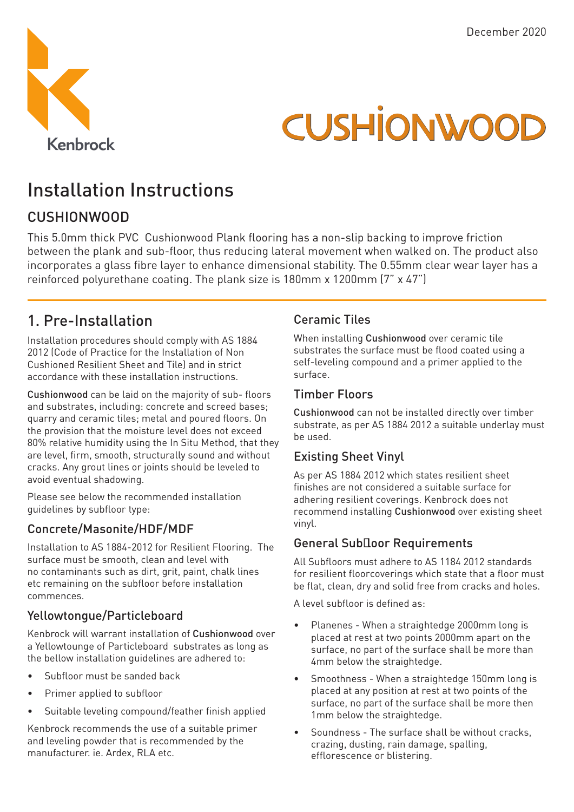

# **CUSHIONWOOD**

## Installation Instructions

### CUSHIONWOOD

This 5.0mm thick PVC Cushionwood Plank flooring has a non-slip backing to improve friction between the plank and sub-floor, thus reducing lateral movement when walked on. The product also incorporates a glass fibre layer to enhance dimensional stability. The 0.55mm clear wear layer has a reinforced polyurethane coating. The plank size is 180mm x 1200mm (7" x 47")

## 1. Pre-Installation

Installation procedures should comply with AS 1884 2012 (Code of Practice for the Installation of Non Cushioned Resilient Sheet and Tile) and in strict accordance with these installation instructions.

Cushionwood can be laid on the majority of sub- floors and substrates, including: concrete and screed bases; quarry and ceramic tiles; metal and poured floors. On the provision that the moisture level does not exceed 80% relative humidity using the In Situ Method, that they are level, firm, smooth, structurally sound and without cracks. Any grout lines or joints should be leveled to avoid eventual shadowing.

Please see below the recommended installation guidelines by subfloor type:

#### Concrete/Masonite/HDF/MDF

Installation to AS 1884-2012 for Resilient Flooring. The surface must be smooth, clean and level with no contaminants such as dirt, grit, paint, chalk lines etc remaining on the subfloor before installation commences.

#### Yellowtongue/Particleboard

Kenbrock will warrant installation of Cushionwood over a Yellowtounge of Particleboard substrates as long as the bellow installation guidelines are adhered to:

- Subfloor must be sanded back
- Primer applied to subfloor
- Suitable leveling compound/feather finish applied

Kenbrock recommends the use of a suitable primer and leveling powder that is recommended by the manufacturer. ie. Ardex, RLA etc.

#### Ceramic Tiles

When installing Cushionwood over ceramic tile substrates the surface must be flood coated using a self-leveling compound and a primer applied to the surface.

#### Timber Floors

Cushionwood can not be installed directly over timber substrate, as per AS 1884 2012 a suitable underlay must be used.

#### Existing Sheet Vinyl

As per AS 1884 2012 which states resilient sheet finishes are not considered a suitable surface for adhering resilient coverings. Kenbrock does not recommend installing Cushionwood over existing sheet vinyl.

#### General Sub<sub>loor</sub> Requirements

All Subfloors must adhere to AS 1184 2012 standards for resilient floorcoverings which state that a floor must be flat, clean, dry and solid free from cracks and holes.

A level subfloor is defined as:

- Planenes When a straightedge 2000mm long is placed at rest at two points 2000mm apart on the surface, no part of the surface shall be more than 4mm below the straightedge.
- Smoothness When a straightedge 150mm long is placed at any position at rest at two points of the surface, no part of the surface shall be more then 1mm below the straightedge.
- Soundness The surface shall be without cracks, crazing, dusting, rain damage, spalling, efflorescence or blistering.